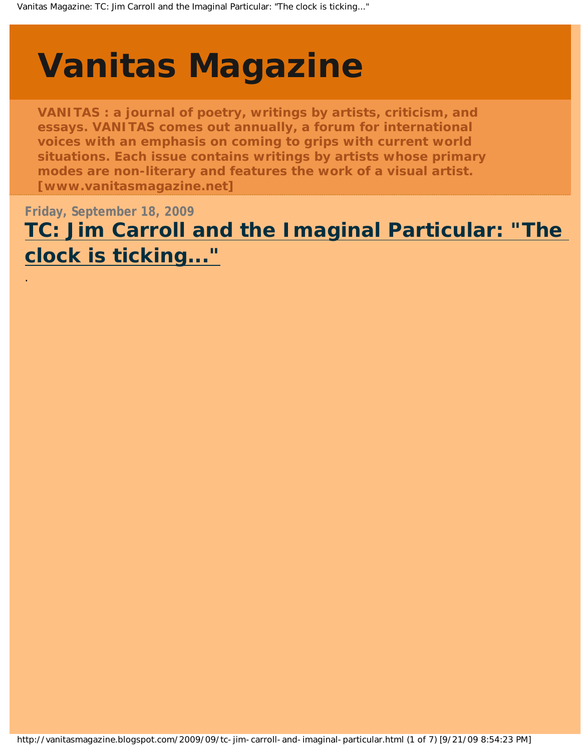# <span id="page-0-0"></span>**[Vanitas Magazine](http://vanitasmagazine.blogspot.com/)**

.

**VANITAS : a journal of poetry, writings by artists, criticism, and essays. VANITAS comes out annually, a forum for international voices with an emphasis on coming to grips with current world situations. Each issue contains writings by artists whose primary modes are non-literary and features the work of a visual artist. [www.vanitasmagazine.net]**

**Friday, September 18, 2009 [TC: Jim Carroll and the Imaginal Particular: "The](#page-0-0)  [clock is ticking..."](#page-0-0)**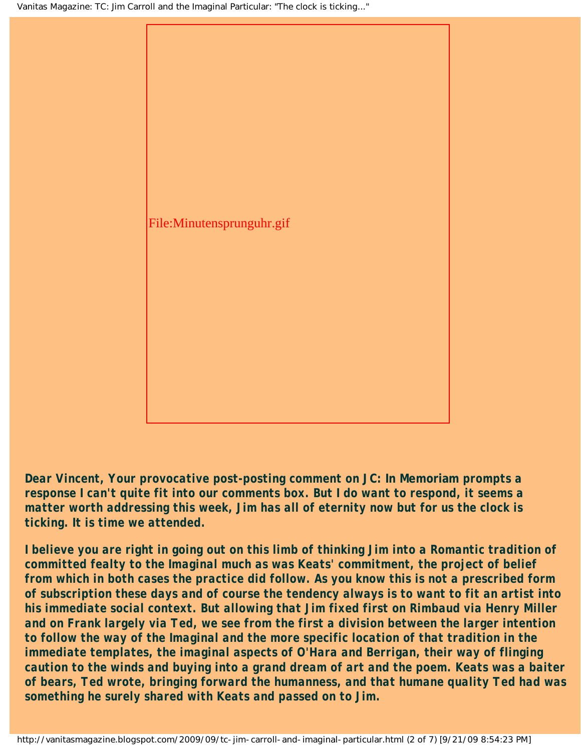

*Dear Vincent, Your provocative post-posting comment on* **JC: In Memoriam** *prompts a response I can't quite fit into our comments box. But I do want to respond, it seems a matter worth addressing this week, Jim has all of eternity now but for us the clock is ticking. It is time we attended.*

*I believe you are right in going out on this limb of thinking Jim into a Romantic tradition of committed fealty to the Imaginal much as was Keats' commitment, the project of belief from which in both cases the practice did follow. As you know this is not a prescribed form of subscription these days and of course the tendency always is to want to fit an artist into his immediate social context. But allowing that Jim fixed first on Rimbaud via Henry Miller and on Frank largely via Ted, we see from the first a division between the larger intention to follow the way of the Imaginal and the more specific location of that tradition in the immediate templates, the imaginal aspects of O'Hara and Berrigan, their way of flinging caution to the winds and buying into a grand dream of art and the poem. Keats was a baiter of bears, Ted wrote, bringing forward the humanness, and that humane quality Ted had was something he surely shared with Keats and passed on to Jim.*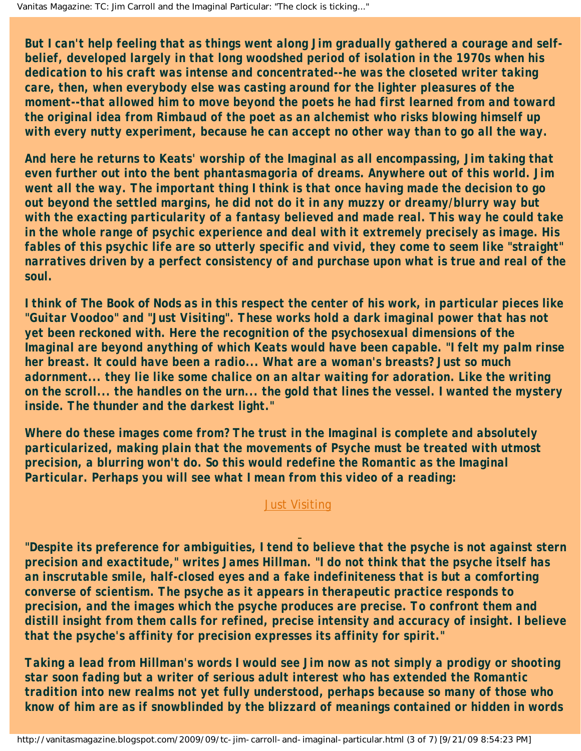*But I can't help feeling that as things went along Jim gradually gathered a courage and selfbelief, developed largely in that long woodshed period of isolation in the 1970s when his dedication to his craft was intense and concentrated--he was the closeted writer taking care, then, when everybody else was casting around for the lighter pleasures of the moment--that allowed him to move beyond the poets he had first learned from and toward the original idea from Rimbaud of the poet as an alchemist who risks blowing himself up with every nutty experiment, because he can accept no other way than to go all the way.*

*And here he returns to Keats' worship of the Imaginal as all encompassing, Jim taking that even further out into the bent phantasmagoria of dreams. Anywhere out of this world. Jim went all the way. The important thing I think is that once having made the decision to go out beyond the settled margins, he did not do it in any muzzy or dreamy/blurry way but with the exacting particularity of a fantasy believed and made real. This way he could take in the whole range of psychic experience and deal with it extremely precisely as image. His fables of this psychic life are so utterly specific and vivid, they come to seem like "straight" narratives driven by a perfect consistency of and purchase upon what is true and real of the soul.* 

*I think of* **The Book of Nods** *as in this respect the center of his work, in particular pieces like "Guitar Voodoo" and "Just Visiting". These works hold a dark imaginal power that has not yet been reckoned with. Here the recognition of the psychosexual dimensions of the Imaginal are beyond anything of which Keats would have been capable. "I felt my palm rinse her breast. It could have been a radio... What are a woman's breasts? Just so much adornment... they lie like some chalice on an altar waiting for adoration. Like the writing on the scroll... the handles on the urn... the gold that lines the vessel. I wanted the mystery inside. The thunder and the darkest light."*

*Where do these images come from? The trust in the Imaginal is complete and absolutely particularized, making plain that the movements of Psyche must be treated with utmost precision, a blurring won't do. So this would redefine the Romantic as the Imaginal Particular. Perhaps you will see what I mean from this video of a reading:*

#### [Just Visiting](http://www.youtube.com/watch?v=bBEkjFZ4XdA)

*"Despite its preference for ambiguities, I tend to believe that the psyche is not against stern precision and exactitude," writes James Hillman. "I do not think that the psyche itself has an inscrutable smile, half-closed eyes and a fake indefiniteness that is but a comforting converse of scientism. The psyche as it appears in therapeutic practice responds to precision, and the images which the psyche produces are precise. To confront them and distill insight from them calls for refined, precise intensity and accuracy of insight. I believe that the psyche's affinity for precision expresses its affinity for spirit."*

*Taking a lead from Hillman's words I would see Jim now as not simply a prodigy or shooting star soon fading but a writer of serious adult interest who has extended the Romantic tradition into new realms not yet fully understood, perhaps because so many of those who know of him are as if snowblinded by the blizzard of meanings contained or hidden in words*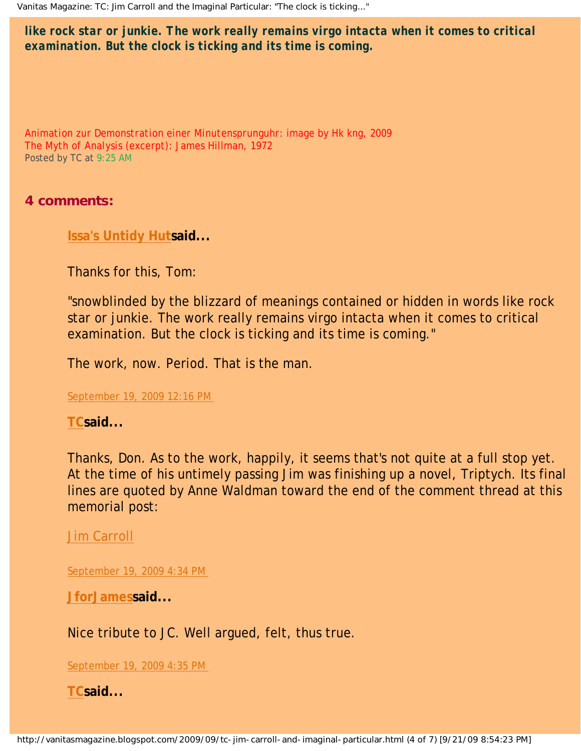*like rock star or junkie. The work really remains virgo intacta when it comes to critical examination. But the clock is ticking and its time is coming.*

*Animation zur Demonstration einer Minutensprunguhr*: image by Hk kng, 2009 *The Myth of Analysis* (excerpt): James Hillman, 1972 Posted by TC at [9:25 AM](#page-0-0)

### **4 comments:**

**[Issa's Untidy Hut](http://www.blogger.com/profile/07352841590717991698)said...** 

Thanks for this, Tom:

"snowblinded by the blizzard of meanings contained or hidden in words like rock star or junkie. The work really remains virgo intacta when it comes to critical examination. But the clock is ticking and its time is coming."

The work, now. Period. That is the man.

[September 19, 2009 12:16 PM](http://vanitasmagazine.blogspot.com/2009/09/tc-jim-carroll-and-imaginal-particular.html?showComment=1253387780885#c2342618772481240985)

**[TCs](http://www.blogger.com/profile/05915822857461178942)aid...** 

Thanks, Don. As to the work, happily, it seems that's not quite at a full stop yet. At the time of his untimely passing Jim was finishing up a novel, Triptych. Its final lines are quoted by Anne Waldman toward the end of the comment thread at this memorial post:

[Jim Carroll](http://tomclarkblog.blogspot.com/2009/09/jim-carroll.html)

[September 19, 2009 4:34 PM](http://vanitasmagazine.blogspot.com/2009/09/tc-jim-carroll-and-imaginal-particular.html?showComment=1253403256755#c1051101228219904123)

**[JforJamess](http://www.blogger.com/profile/17178504373218996278)aid...** 

Nice tribute to JC. Well argued, felt, thus true.

[September 19, 2009 4:35 PM](http://vanitasmagazine.blogspot.com/2009/09/tc-jim-carroll-and-imaginal-particular.html?showComment=1253403357434#c7419123666230219613)

**[TCs](http://www.blogger.com/profile/05915822857461178942)aid...**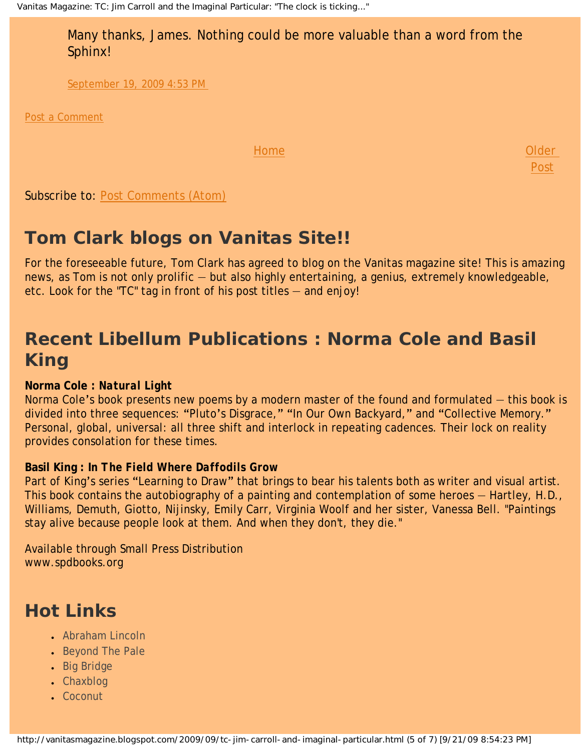Many thanks, James. Nothing could be more valuable than a word from the Sphinx!

> [Older](http://vanitasmagazine.blogspot.com/2009/09/bright-star.html)  [Post](http://vanitasmagazine.blogspot.com/2009/09/bright-star.html)

[September 19, 2009 4:53 PM](http://vanitasmagazine.blogspot.com/2009/09/tc-jim-carroll-and-imaginal-particular.html?showComment=1253404417773#c3351181437805247918)

[Post a Comment](https://www.blogger.com/comment.g?blogID=9139185550151027390&postID=263753888692377021)

[Home](http://vanitasmagazine.blogspot.com/)

Subscribe to: [Post Comments \(Atom\)](http://vanitasmagazine.blogspot.com/feeds/263753888692377021/comments/default)

### **Tom Clark blogs on Vanitas Site!!**

For the foreseeable future, Tom Clark has agreed to blog on the Vanitas magazine site! This is amazing news, as Tom is not only prolific — but also highly entertaining, a genius, extremely knowledgeable, etc. Look for the "TC" tag in front of his post titles — and enjoy!

### **Recent Libellum Publications : Norma Cole and Basil King**

#### **Norma Cole :** *Natural Light*

Norma Cole's book presents new poems by a modern master of the found and formulated — this book is divided into three sequences: "Pluto's Disgrace," "In Our Own Backyard," and "Collective Memory." Personal, global, universal: all three shift and interlock in repeating cadences. Their lock on reality provides consolation for these times.

#### **Basil King :** *In The Field Where Daffodils Grow*

Part of King's series "Learning to Draw" that brings to bear his talents both as writer and visual artist. This book contains the autobiography of a painting and contemplation of some heroes — Hartley, H.D., Williams, Demuth, Giotto, Nijinsky, Emily Carr, Virginia Woolf and her sister, Vanessa Bell. "Paintings stay alive because people look at them. And when they don't, they die."

Available through Small Press Distribution www.spdbooks.org

### **Hot Links**

- [Abraham Lincoln](http://abrahamlincolnmagazine.blogspot.com/)
- [Beyond The Pale](http://tomclarkblog.blogspot.com/)
- [Big Bridge](http://www.bigbridge.org/index2.htm)
- [Chaxblog](http://chax.org/blog.htm)
- [Coconut](http://www.coconutpoetry.org/)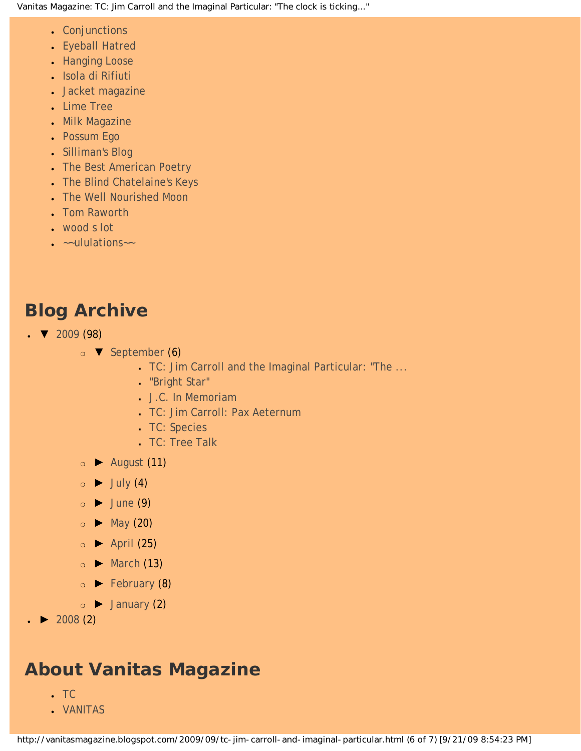- [Conjunctions](http://www.conjunctions.com/)
- [Eyeball Hatred](http://claytonbanes.blogspot.com/)
- [Hanging Loose](http://www.hangingloosepress.com/)
- [Isola di Rifiuti](http://isola-di-rifiuti.blogspot.com/)
- [Jacket magazine](http://jacketmagazine.com/00/home.shtml)
- [Lime Tree](http://lime-tree.blogspot.com/)
- [Milk Magazine](http://www.milkmag.org/)
- [Possum Ego](http://possumego.blogspot.com/)
- [Silliman's Blog](http://ronsilliman.blogspot.com/)
- [The Best American Poetry](http://www.bestamericanpoetry.com/)
- [The Blind Chatelaine's Keys](http://angelicpoker.blogspot.com/)
- **[The Well Nourished Moon](http://www.stephanieyoung.org/blog/)**
- **[Tom Raworth](http://www.tomraworth.com/notes/)**
- [wood s lot](http://web.ncf.ca/ek867/wood_s_lot.html)
- $\bullet$   $\sim$ -ululations $\sim$

## **Blog Archive**

- $\bullet$  [2009](http://vanitasmagazine.blogspot.com/search?updated-min=2009-01-01T00%3A00%3A00-08%3A00&updated-max=2010-01-01T00%3A00%3A00-08%3A00&max-results=50) (98)
	- $\circ$  **v** [September](http://vanitasmagazine.blogspot.com/2009_09_01_archive.html) (6)
		- [TC: Jim Carroll and the Imaginal Particular: "The ...](#page-0-0)
		- ["Bright Star"](http://vanitasmagazine.blogspot.com/2009/09/bright-star.html)
		- [J.C. In Memoriam](http://vanitasmagazine.blogspot.com/2009/09/jc-in-memoriam.html)
		- [TC: Jim Carroll: Pax Aeternum](http://vanitasmagazine.blogspot.com/2009/09/tc-jim-carroll-pax-aeternum.html)
		- [TC: Species](http://vanitasmagazine.blogspot.com/2009/09/tc-species.html)
		- [TC: Tree Talk](http://vanitasmagazine.blogspot.com/2009/09/tc-tree-talk.html)
	- ❍ [►](javascript:void(0)) [August](http://vanitasmagazine.blogspot.com/2009_08_01_archive.html) (11)
	- $\circ \rightarrow$  [July](http://vanitasmagazine.blogspot.com/2009_07_01_archive.html) (4)
	- $\circ$   $\blacktriangleright$  [June](http://vanitasmagazine.blogspot.com/2009_06_01_archive.html) (9)
	- $\circ$  [May](http://vanitasmagazine.blogspot.com/2009_05_01_archive.html) (20)
	- $\circ$   $\blacktriangleright$  [April](http://vanitasmagazine.blogspot.com/2009_04_01_archive.html) (25)
	- $\circ \rightarrow$  [March](http://vanitasmagazine.blogspot.com/2009_03_01_archive.html) (13)
	- $\circ \rightarrow$  [February](http://vanitasmagazine.blogspot.com/2009_02_01_archive.html) (8)
	- $\circ \rightarrow$  [January](http://vanitasmagazine.blogspot.com/2009_01_01_archive.html) (2)
- $\triangleright$  [2008](http://vanitasmagazine.blogspot.com/search?updated-min=2008-01-01T00%3A00%3A00-08%3A00&updated-max=2009-01-01T00%3A00%3A00-08%3A00&max-results=2) (2)

### **About Vanitas Magazine**

- $\cdot$  [TC](http://www.blogger.com/profile/05915822857461178942)
- [VANITAS](http://www.blogger.com/profile/10486783210928118377)